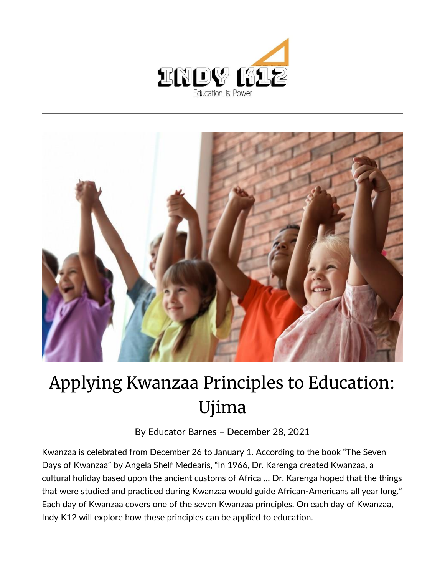



## Applying Kwanzaa Principles to Education: Ujima

By [Educator Barnes](https://indy.education/author/shicole/) – December 28, 2021

Kwanzaa is celebrated from December 26 to January 1. According to the book "The Seven Days of Kwanzaa" by Angela Shelf Medearis, "In 1966, Dr. Karenga created Kwanzaa, a cultural holiday based upon the ancient customs of Africa … Dr. Karenga hoped that the things that were studied and practiced during Kwanzaa would guide African-Americans all year long." Each day of Kwanzaa covers one of the seven Kwanzaa principles. On each day of Kwanzaa, Indy K12 will explore how these principles can be applied to education.